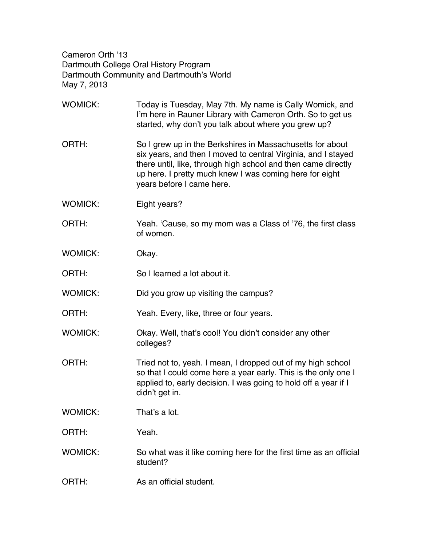Cameron Orth '13 Dartmouth College Oral History Program Dartmouth Community and Dartmouth's World May 7, 2013

- WOMICK: Today is Tuesday, May 7th. My name is Cally Womick, and I'm here in Rauner Library with Cameron Orth. So to get us started, why don't you talk about where you grew up? ORTH: So I grew up in the Berkshires in Massachusetts for about six years, and then I moved to central Virginia, and I stayed there until, like, through high school and then came directly up here. I pretty much knew I was coming here for eight years before I came here. WOMICK: Eight years? ORTH: Yeah. 'Cause, so my mom was a Class of '76, the first class of women. WOMICK: Okay. ORTH: So I learned a lot about it. WOMICK: Did you grow up visiting the campus? ORTH: Yeah. Every, like, three or four years. WOMICK: Okay. Well, that's cool! You didn't consider any other colleges? ORTH: Tried not to, yeah. I mean, I dropped out of my high school so that I could come here a year early. This is the only one I applied to, early decision. I was going to hold off a year if I didn't get in. WOMICK: That's a lot. ORTH: Yeah. WOMICK: So what was it like coming here for the first time as an official student?
- ORTH: As an official student.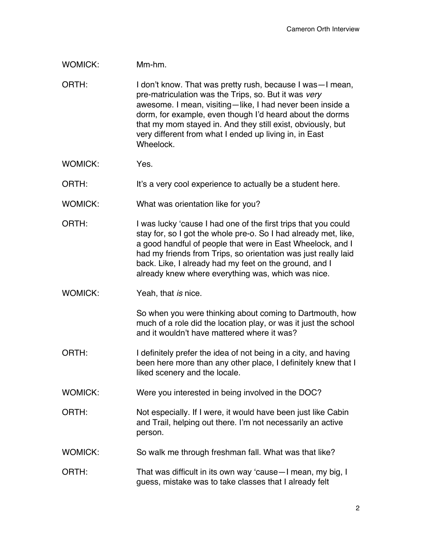## WOMICK: Mm-hm.

ORTH: I don't know. That was pretty rush, because I was—I mean, pre-matriculation was the Trips, so. But it was *very* awesome. I mean, visiting—like, I had never been inside a dorm, for example, even though I'd heard about the dorms that my mom stayed in. And they still exist, obviously, but very different from what I ended up living in, in East Wheelock.

- WOMICK: Yes.
- ORTH: It's a very cool experience to actually be a student here.
- WOMICK: What was orientation like for you?
- ORTH: I was lucky 'cause I had one of the first trips that you could stay for, so I got the whole pre-o. So I had already met, like, a good handful of people that were in East Wheelock, and I had my friends from Trips, so orientation was just really laid back. Like, I already had my feet on the ground, and I already knew where everything was, which was nice.
- WOMICK: Yeah, that *is* nice.

So when you were thinking about coming to Dartmouth, how much of a role did the location play, or was it just the school and it wouldn't have mattered where it was?

- ORTH: I definitely prefer the idea of not being in a city, and having been here more than any other place, I definitely knew that I liked scenery and the locale.
- WOMICK: Were you interested in being involved in the DOC?
- ORTH: Not especially. If I were, it would have been just like Cabin and Trail, helping out there. I'm not necessarily an active person.
- WOMICK: So walk me through freshman fall. What was that like?
- ORTH: That was difficult in its own way 'cause-I mean, my big, I guess, mistake was to take classes that I already felt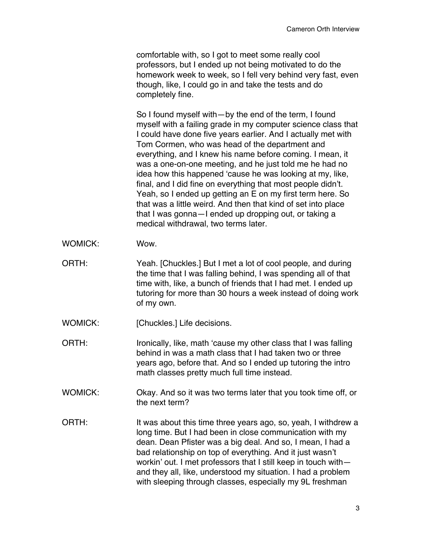comfortable with, so I got to meet some really cool professors, but I ended up not being motivated to do the homework week to week, so I fell very behind very fast, even though, like, I could go in and take the tests and do completely fine.

So I found myself with—by the end of the term, I found myself with a failing grade in my computer science class that I could have done five years earlier. And I actually met with Tom Cormen, who was head of the department and everything, and I knew his name before coming. I mean, it was a one-on-one meeting, and he just told me he had no idea how this happened 'cause he was looking at my, like, final, and I did fine on everything that most people didn't. Yeah, so I ended up getting an E on my first term here. So that was a little weird. And then that kind of set into place that I was gonna—I ended up dropping out, or taking a medical withdrawal, two terms later.

- WOMICK: Wow.
- ORTH: Yeah. [Chuckles.] But I met a lot of cool people, and during the time that I was falling behind, I was spending all of that time with, like, a bunch of friends that I had met. I ended up tutoring for more than 30 hours a week instead of doing work of my own.
- WOMICK: [Chuckles.] Life decisions.
- ORTH: Ironically, like, math 'cause my other class that I was falling behind in was a math class that I had taken two or three years ago, before that. And so I ended up tutoring the intro math classes pretty much full time instead.
- WOMICK: Okay. And so it was two terms later that you took time off, or the next term?
- ORTH: It was about this time three years ago, so, yeah, I withdrew a long time. But I had been in close communication with my dean. Dean Pfister was a big deal. And so, I mean, I had a bad relationship on top of everything. And it just wasn't workin' out. I met professors that I still keep in touch with and they all, like, understood my situation. I had a problem with sleeping through classes, especially my 9L freshman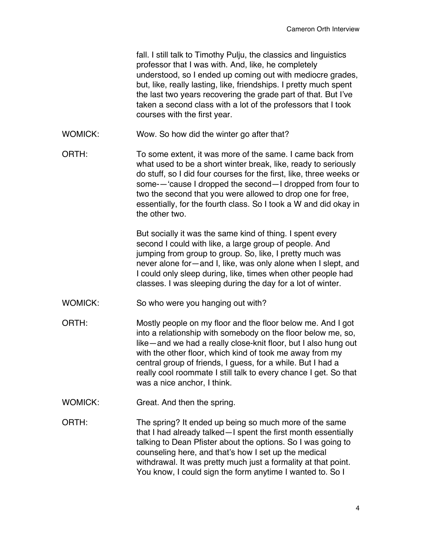fall. I still talk to Timothy Pulju, the classics and linguistics professor that I was with. And, like, he completely understood, so I ended up coming out with mediocre grades, but, like, really lasting, like, friendships. I pretty much spent the last two years recovering the grade part of that. But I've taken a second class with a lot of the professors that I took courses with the first year. WOMICK: Wow. So how did the winter go after that? ORTH: To some extent, it was more of the same. I came back from what used to be a short winter break, like, ready to seriously do stuff, so I did four courses for the first, like, three weeks or some-—'cause I dropped the second—I dropped from four to two the second that you were allowed to drop one for free, essentially, for the fourth class. So I took a W and did okay in the other two. But socially it was the same kind of thing. I spent every second I could with like, a large group of people. And jumping from group to group. So, like, I pretty much was never alone for—and I, like, was only alone when I slept, and I could only sleep during, like, times when other people had classes. I was sleeping during the day for a lot of winter. WOMICK: So who were you hanging out with? ORTH: Mostly people on my floor and the floor below me. And I got into a relationship with somebody on the floor below me, so, like—and we had a really close-knit floor, but I also hung out with the other floor, which kind of took me away from my central group of friends, I guess, for a while. But I had a really cool roommate I still talk to every chance I get. So that was a nice anchor, I think. WOMICK: Great. And then the spring. ORTH: The spring? It ended up being so much more of the same that I had already talked—I spent the first month essentially talking to Dean Pfister about the options. So I was going to counseling here, and that's how I set up the medical

> withdrawal. It was pretty much just a formality at that point. You know, I could sign the form anytime I wanted to. So I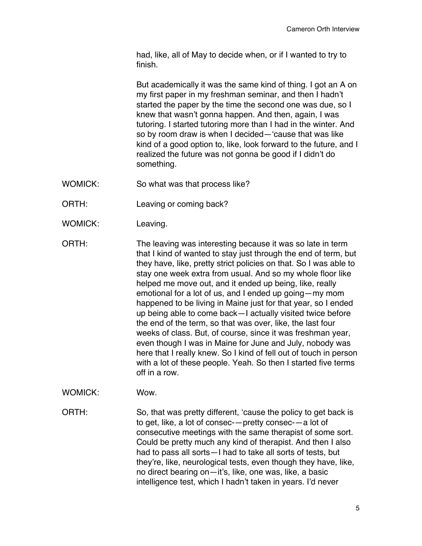had, like, all of May to decide when, or if I wanted to try to finish.

But academically it was the same kind of thing. I got an A on my first paper in my freshman seminar, and then I hadn't started the paper by the time the second one was due, so I knew that wasn't gonna happen. And then, again, I was tutoring. I started tutoring more than I had in the winter. And so by room draw is when I decided—'cause that was like kind of a good option to, like, look forward to the future, and I realized the future was not gonna be good if I didn't do something.

- WOMICK: So what was that process like?
- ORTH: Leaving or coming back?
- WOMICK: Leaving.
- ORTH: The leaving was interesting because it was so late in term that I kind of wanted to stay just through the end of term, but they have, like, pretty strict policies on that. So I was able to stay one week extra from usual. And so my whole floor like helped me move out, and it ended up being, like, really emotional for a lot of us, and I ended up going—my mom happened to be living in Maine just for that year, so I ended up being able to come back—I actually visited twice before the end of the term, so that was over, like, the last four weeks of class. But, of course, since it was freshman year, even though I was in Maine for June and July, nobody was here that I really knew. So I kind of fell out of touch in person with a lot of these people. Yeah. So then I started five terms off in a row.
- WOMICK: Wow.

ORTH: So, that was pretty different, 'cause the policy to get back is to get, like, a lot of consec-—pretty consec-—a lot of consecutive meetings with the same therapist of some sort. Could be pretty much any kind of therapist. And then I also had to pass all sorts—I had to take all sorts of tests, but they're, like, neurological tests, even though they have, like, no direct bearing on—it's, like, one was, like, a basic intelligence test, which I hadn't taken in years. I'd never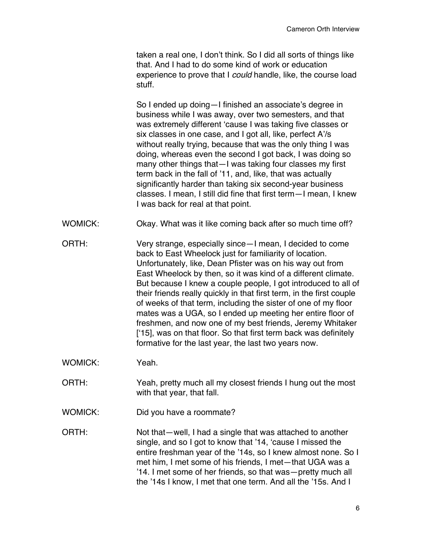taken a real one, I don't think. So I did all sorts of things like that. And I had to do some kind of work or education experience to prove that I *could* handle, like, the course load stuff.

So I ended up doing—I finished an associate's degree in business while I was away, over two semesters, and that was extremely different 'cause I was taking five classes or six classes in one case, and I got all, like, perfect A'/s without really trying, because that was the only thing I was doing, whereas even the second I got back, I was doing so many other things that—I was taking four classes my first term back in the fall of '11, and, like, that was actually significantly harder than taking six second-year business classes. I mean, I still did fine that first term—I mean, I knew I was back for real at that point.

- WOMICK: Okay. What was it like coming back after so much time off?
- ORTH: Very strange, especially since—I mean, I decided to come back to East Wheelock just for familiarity of location. Unfortunately, like, Dean Pfister was on his way out from East Wheelock by then, so it was kind of a different climate. But because I knew a couple people, I got introduced to all of their friends really quickly in that first term, in the first couple of weeks of that term, including the sister of one of my floor mates was a UGA, so I ended up meeting her entire floor of freshmen, and now one of my best friends, Jeremy Whitaker ['15], was on that floor. So that first term back was definitely formative for the last year, the last two years now.

WOMICK: Yeah.

- ORTH: Yeah, pretty much all my closest friends I hung out the most with that year, that fall.
- WOMICK: Did you have a roommate?

ORTH: Not that—well, I had a single that was attached to another single, and so I got to know that '14, 'cause I missed the entire freshman year of the '14s, so I knew almost none. So I met him, I met some of his friends, I met—that UGA was a '14. I met some of her friends, so that was—pretty much all the '14s I know, I met that one term. And all the '15s. And I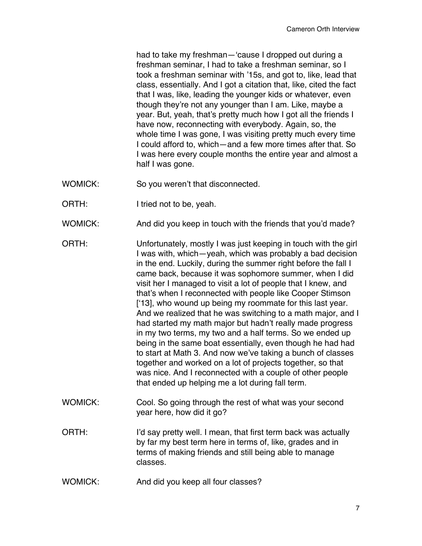had to take my freshman—'cause I dropped out during a freshman seminar, I had to take a freshman seminar, so I took a freshman seminar with '15s, and got to, like, lead that class, essentially. And I got a citation that, like, cited the fact that I was, like, leading the younger kids or whatever, even though they're not any younger than I am. Like, maybe a year. But, yeah, that's pretty much how I got all the friends I have now, reconnecting with everybody. Again, so, the whole time I was gone, I was visiting pretty much every time I could afford to, which—and a few more times after that. So I was here every couple months the entire year and almost a half I was gone.

- WOMICK: So you weren't that disconnected.
- ORTH: I tried not to be, yeah.
- WOMICK: And did you keep in touch with the friends that you'd made?
- ORTH: Unfortunately, mostly I was just keeping in touch with the girl I was with, which—yeah, which was probably a bad decision in the end. Luckily, during the summer right before the fall I came back, because it was sophomore summer, when I did visit her I managed to visit a lot of people that I knew, and that's when I reconnected with people like Cooper Stimson ['13], who wound up being my roommate for this last year. And we realized that he was switching to a math major, and I had started my math major but hadn't really made progress in my two terms, my two and a half terms. So we ended up being in the same boat essentially, even though he had had to start at Math 3. And now we've taking a bunch of classes together and worked on a lot of projects together, so that was nice. And I reconnected with a couple of other people that ended up helping me a lot during fall term.
- WOMICK: Cool. So going through the rest of what was your second year here, how did it go?
- ORTH: I'd say pretty well. I mean, that first term back was actually by far my best term here in terms of, like, grades and in terms of making friends and still being able to manage classes.
- WOMICK: And did you keep all four classes?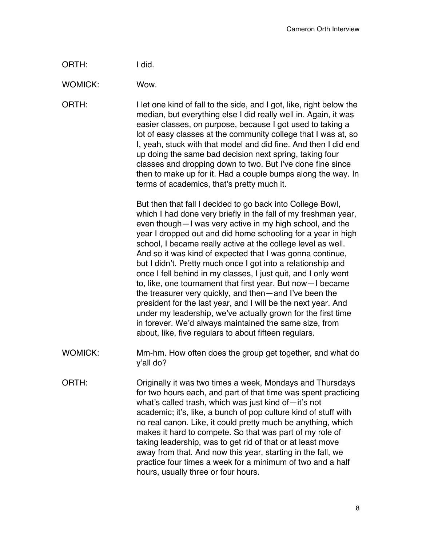| ORTH: | I did. |
|-------|--------|
|-------|--------|

WOMICK: Wow.

ORTH: I let one kind of fall to the side, and I got, like, right below the median, but everything else I did really well in. Again, it was easier classes, on purpose, because I got used to taking a lot of easy classes at the community college that I was at, so I, yeah, stuck with that model and did fine. And then I did end up doing the same bad decision next spring, taking four classes and dropping down to two. But I've done fine since then to make up for it. Had a couple bumps along the way. In terms of academics, that's pretty much it.

> But then that fall I decided to go back into College Bowl, which I had done very briefly in the fall of my freshman year, even though—I was very active in my high school, and the year I dropped out and did home schooling for a year in high school, I became really active at the college level as well. And so it was kind of expected that I was gonna continue, but I didn't. Pretty much once I got into a relationship and once I fell behind in my classes, I just quit, and I only went to, like, one tournament that first year. But now—I became the treasurer very quickly, and then—and I've been the president for the last year, and I will be the next year. And under my leadership, we've actually grown for the first time in forever. We'd always maintained the same size, from about, like, five regulars to about fifteen regulars.

- WOMICK: Mm-hm. How often does the group get together, and what do y'all do?
- ORTH: Originally it was two times a week, Mondays and Thursdays for two hours each, and part of that time was spent practicing what's called trash, which was just kind of—it's not academic; it's, like, a bunch of pop culture kind of stuff with no real canon. Like, it could pretty much be anything, which makes it hard to compete. So that was part of my role of taking leadership, was to get rid of that or at least move away from that. And now this year, starting in the fall, we practice four times a week for a minimum of two and a half hours, usually three or four hours.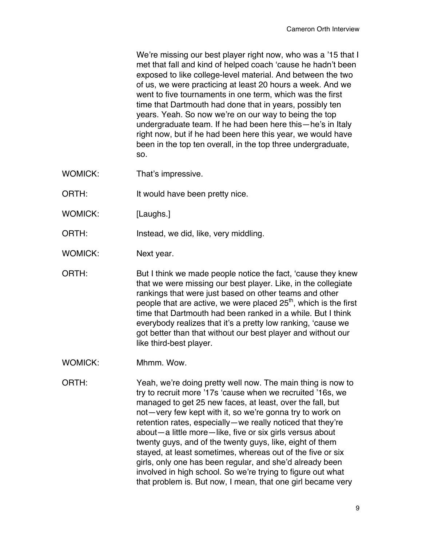We're missing our best player right now, who was a '15 that I met that fall and kind of helped coach 'cause he hadn't been exposed to like college-level material. And between the two of us, we were practicing at least 20 hours a week. And we went to five tournaments in one term, which was the first time that Dartmouth had done that in years, possibly ten years. Yeah. So now we're on our way to being the top undergraduate team. If he had been here this—he's in Italy right now, but if he had been here this year, we would have been in the top ten overall, in the top three undergraduate, so.

- WOMICK: That's impressive.
- ORTH: It would have been pretty nice.
- WOMICK: [Laughs.]
- ORTH: Instead, we did, like, very middling.
- WOMICK: Next year.

ORTH: But I think we made people notice the fact, 'cause they knew that we were missing our best player. Like, in the collegiate rankings that were just based on other teams and other people that are active, we were placed  $25<sup>th</sup>$ , which is the first time that Dartmouth had been ranked in a while. But I think everybody realizes that it's a pretty low ranking, 'cause we got better than that without our best player and without our like third-best player.

WOMICK: Mhmm. Wow.

ORTH: Yeah, we're doing pretty well now. The main thing is now to try to recruit more '17s 'cause when we recruited '16s, we managed to get 25 new faces, at least, over the fall, but not—very few kept with it, so we're gonna try to work on retention rates, especially—we really noticed that they're about—a little more—like, five or six girls versus about twenty guys, and of the twenty guys, like, eight of them stayed, at least sometimes, whereas out of the five or six girls, only one has been regular, and she'd already been involved in high school. So we're trying to figure out what that problem is. But now, I mean, that one girl became very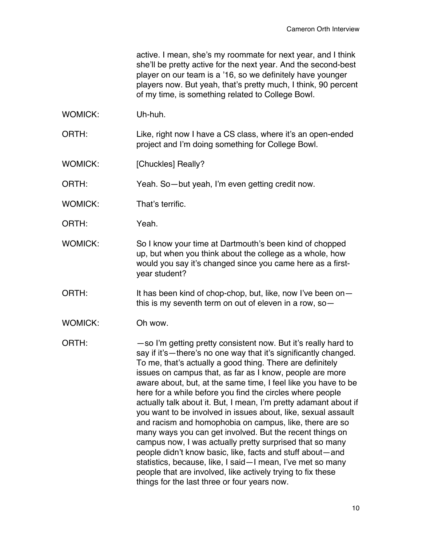active. I mean, she's my roommate for next year, and I think she'll be pretty active for the next year. And the second-best player on our team is a '16, so we definitely have younger players now. But yeah, that's pretty much, I think, 90 percent of my time, is something related to College Bowl.

- WOMICK: Uh-huh.
- ORTH: Like, right now I have a CS class, where it's an open-ended project and I'm doing something for College Bowl.
- WOMICK: [Chuckles] Really?

ORTH: Yeah. So—but yeah, I'm even getting credit now.

- WOMICK: That's terrific.
- ORTH: Yeah.
- WOMICK: So I know your time at Dartmouth's been kind of chopped up, but when you think about the college as a whole, how would you say it's changed since you came here as a firstyear student?
- ORTH: It has been kind of chop-chop, but, like, now I've been onthis is my seventh term on out of eleven in a row, so—
- WOMICK: Oh wow.

ORTH: — — So I'm getting pretty consistent now. But it's really hard to say if it's—there's no one way that it's significantly changed. To me, that's actually a good thing. There are definitely issues on campus that, as far as I know, people are more aware about, but, at the same time, I feel like you have to be here for a while before you find the circles where people actually talk about it. But, I mean, I'm pretty adamant about if you want to be involved in issues about, like, sexual assault and racism and homophobia on campus, like, there are so many ways you can get involved. But the recent things on campus now, I was actually pretty surprised that so many people didn't know basic, like, facts and stuff about—and statistics, because, like, I said—I mean, I've met so many people that are involved, like actively trying to fix these things for the last three or four years now.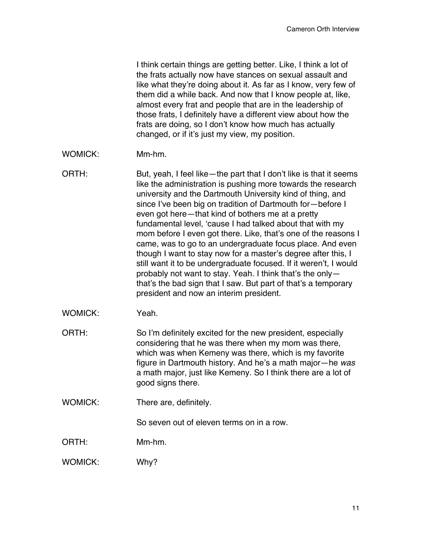I think certain things are getting better. Like, I think a lot of the frats actually now have stances on sexual assault and like what they're doing about it. As far as I know, very few of them did a while back. And now that I know people at, like, almost every frat and people that are in the leadership of those frats, I definitely have a different view about how the frats are doing, so I don't know how much has actually changed, or if it's just my view, my position.

- WOMICK: Mm-hm.
- ORTH: But, yeah, I feel like—the part that I don't like is that it seems like the administration is pushing more towards the research university and the Dartmouth University kind of thing, and since I've been big on tradition of Dartmouth for—before I even got here—that kind of bothers me at a pretty fundamental level, 'cause I had talked about that with my mom before I even got there. Like, that's one of the reasons I came, was to go to an undergraduate focus place. And even though I want to stay now for a master's degree after this, I still want it to be undergraduate focused. If it weren't, I would probably not want to stay. Yeah. I think that's the only that's the bad sign that I saw. But part of that's a temporary president and now an interim president.
- WOMICK: Yeah.
- ORTH: So I'm definitely excited for the new president, especially considering that he was there when my mom was there, which was when Kemeny was there, which is my favorite figure in Dartmouth history. And he's a math major—he *was* a math major, just like Kemeny. So I think there are a lot of good signs there.
- WOMICK: There are, definitely.

So seven out of eleven terms on in a row.

ORTH: Mm-hm.

WOMICK: Why?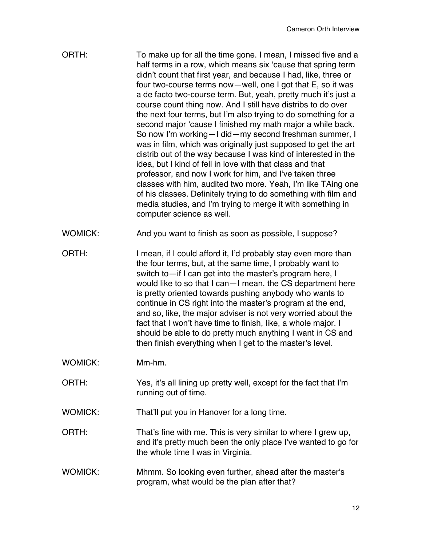| ORTH:          | To make up for all the time gone. I mean, I missed five and a<br>half terms in a row, which means six 'cause that spring term<br>didn't count that first year, and because I had, like, three or<br>four two-course terms now-well, one I got that E, so it was<br>a de facto two-course term. But, yeah, pretty much it's just a<br>course count thing now. And I still have distribs to do over<br>the next four terms, but I'm also trying to do something for a<br>second major 'cause I finished my math major a while back.<br>So now I'm working-I did-my second freshman summer, I<br>was in film, which was originally just supposed to get the art<br>distrib out of the way because I was kind of interested in the<br>idea, but I kind of fell in love with that class and that<br>professor, and now I work for him, and I've taken three<br>classes with him, audited two more. Yeah, I'm like TAing one<br>of his classes. Definitely trying to do something with film and<br>media studies, and I'm trying to merge it with something in<br>computer science as well. |
|----------------|---------------------------------------------------------------------------------------------------------------------------------------------------------------------------------------------------------------------------------------------------------------------------------------------------------------------------------------------------------------------------------------------------------------------------------------------------------------------------------------------------------------------------------------------------------------------------------------------------------------------------------------------------------------------------------------------------------------------------------------------------------------------------------------------------------------------------------------------------------------------------------------------------------------------------------------------------------------------------------------------------------------------------------------------------------------------------------------|
| <b>WOMICK:</b> | And you want to finish as soon as possible, I suppose?                                                                                                                                                                                                                                                                                                                                                                                                                                                                                                                                                                                                                                                                                                                                                                                                                                                                                                                                                                                                                                |
| ORTH:          | I mean, if I could afford it, I'd probably stay even more than<br>the four terms, but, at the same time, I probably want to<br>switch to—if I can get into the master's program here, I<br>would like to so that I can-I mean, the CS department here<br>is pretty oriented towards pushing anybody who wants to<br>continue in CS right into the master's program at the end,<br>and so, like, the major adviser is not very worried about the<br>fact that I won't have time to finish, like, a whole major. I<br>should be able to do pretty much anything I want in CS and<br>then finish everything when I get to the master's level.                                                                                                                                                                                                                                                                                                                                                                                                                                            |
| <b>WOMICK:</b> | Mm-hm.                                                                                                                                                                                                                                                                                                                                                                                                                                                                                                                                                                                                                                                                                                                                                                                                                                                                                                                                                                                                                                                                                |
| ORTH:          | Yes, it's all lining up pretty well, except for the fact that I'm<br>running out of time.                                                                                                                                                                                                                                                                                                                                                                                                                                                                                                                                                                                                                                                                                                                                                                                                                                                                                                                                                                                             |
| <b>WOMICK:</b> | That'll put you in Hanover for a long time.                                                                                                                                                                                                                                                                                                                                                                                                                                                                                                                                                                                                                                                                                                                                                                                                                                                                                                                                                                                                                                           |
| ORTH:          | That's fine with me. This is very similar to where I grew up,<br>and it's pretty much been the only place I've wanted to go for<br>the whole time I was in Virginia.                                                                                                                                                                                                                                                                                                                                                                                                                                                                                                                                                                                                                                                                                                                                                                                                                                                                                                                  |
| WOMICK:        | Mhmm. So looking even further, ahead after the master's<br>program, what would be the plan after that?                                                                                                                                                                                                                                                                                                                                                                                                                                                                                                                                                                                                                                                                                                                                                                                                                                                                                                                                                                                |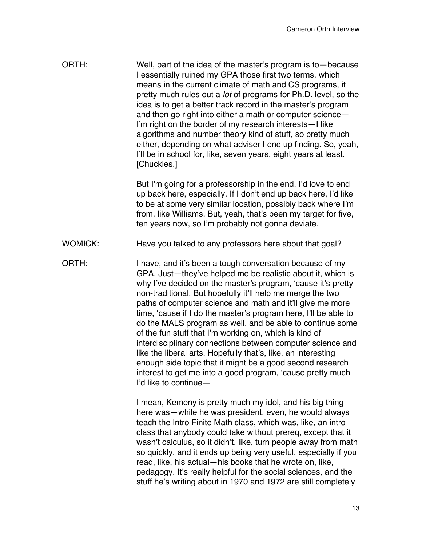ORTH: Well, part of the idea of the master's program is to—because I essentially ruined my GPA those first two terms, which means in the current climate of math and CS programs, it pretty much rules out a *lot* of programs for Ph.D. level, so the idea is to get a better track record in the master's program and then go right into either a math or computer science— I'm right on the border of my research interests—I like algorithms and number theory kind of stuff, so pretty much either, depending on what adviser I end up finding. So, yeah, I'll be in school for, like, seven years, eight years at least. [Chuckles.]

> But I'm going for a professorship in the end. I'd love to end up back here, especially. If I don't end up back here, I'd like to be at some very similar location, possibly back where I'm from, like Williams. But, yeah, that's been my target for five, ten years now, so I'm probably not gonna deviate.

- WOMICK: Have you talked to any professors here about that goal?
- ORTH: I have, and it's been a tough conversation because of my GPA. Just—they've helped me be realistic about it, which is why I've decided on the master's program, 'cause it's pretty non-traditional. But hopefully it'll help me merge the two paths of computer science and math and it'll give me more time, 'cause if I do the master's program here, I'll be able to do the MALS program as well, and be able to continue some of the fun stuff that I'm working on, which is kind of interdisciplinary connections between computer science and like the liberal arts. Hopefully that's, like, an interesting enough side topic that it might be a good second research interest to get me into a good program, 'cause pretty much I'd like to continue—

I mean, Kemeny is pretty much my idol, and his big thing here was—while he was president, even, he would always teach the Intro Finite Math class, which was, like, an intro class that anybody could take without prereq, except that it wasn't calculus, so it didn't, like, turn people away from math so quickly, and it ends up being very useful, especially if you read, like, his actual—his books that he wrote on, like, pedagogy. It's really helpful for the social sciences, and the stuff he's writing about in 1970 and 1972 are still completely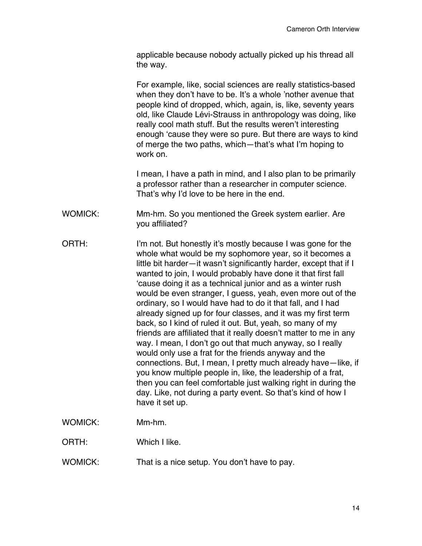applicable because nobody actually picked up his thread all the way.

For example, like, social sciences are really statistics-based when they don't have to be. It's a whole 'nother avenue that people kind of dropped, which, again, is, like, seventy years old, like Claude Lévi-Strauss in anthropology was doing, like really cool math stuff. But the results weren't interesting enough 'cause they were so pure. But there are ways to kind of merge the two paths, which—that's what I'm hoping to work on.

I mean, I have a path in mind, and I also plan to be primarily a professor rather than a researcher in computer science. That's why I'd love to be here in the end.

WOMICK: Mm-hm. So you mentioned the Greek system earlier. Are you affiliated?

ORTH: I'm not. But honestly it's mostly because I was gone for the whole what would be my sophomore year, so it becomes a little bit harder—it wasn't significantly harder, except that if I wanted to join, I would probably have done it that first fall 'cause doing it as a technical junior and as a winter rush would be even stranger, I guess, yeah, even more out of the ordinary, so I would have had to do it that fall, and I had already signed up for four classes, and it was my first term back, so I kind of ruled it out. But, yeah, so many of my friends are affiliated that it really doesn't matter to me in any way. I mean, I don't go out that much anyway, so I really would only use a frat for the friends anyway and the connections. But, I mean, I pretty much already have—like, if you know multiple people in, like, the leadership of a frat, then you can feel comfortable just walking right in during the day. Like, not during a party event. So that's kind of how I have it set up.

WOMICK: Mm-hm.

ORTH: Which I like.

WOMICK: That is a nice setup. You don't have to pay.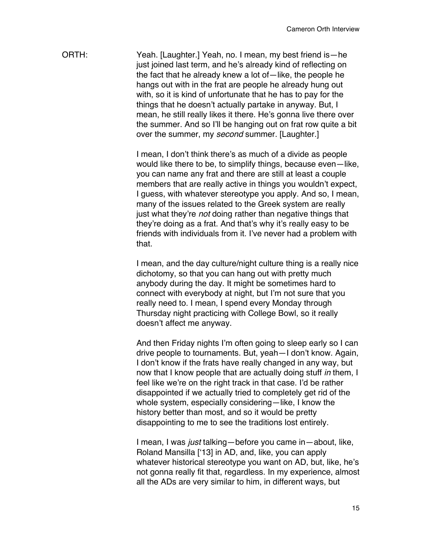ORTH: Yeah. [Laughter.] Yeah, no. I mean, my best friend is—he just joined last term, and he's already kind of reflecting on the fact that he already knew a lot of—like, the people he hangs out with in the frat are people he already hung out with, so it is kind of unfortunate that he has to pay for the things that he doesn't actually partake in anyway. But, I mean, he still really likes it there. He's gonna live there over the summer. And so I'll be hanging out on frat row quite a bit over the summer, my *second* summer. [Laughter.]

> I mean, I don't think there's as much of a divide as people would like there to be, to simplify things, because even—like, you can name any frat and there are still at least a couple members that are really active in things you wouldn't expect, I guess, with whatever stereotype you apply. And so, I mean, many of the issues related to the Greek system are really just what they're *not* doing rather than negative things that they're doing as a frat. And that's why it's really easy to be friends with individuals from it. I've never had a problem with that.

> I mean, and the day culture/night culture thing is a really nice dichotomy, so that you can hang out with pretty much anybody during the day. It might be sometimes hard to connect with everybody at night, but I'm not sure that you really need to. I mean, I spend every Monday through Thursday night practicing with College Bowl, so it really doesn't affect me anyway.

> And then Friday nights I'm often going to sleep early so I can drive people to tournaments. But, yeah—I don't know. Again, I don't know if the frats have really changed in any way, but now that I know people that are actually doing stuff *in* them, I feel like we're on the right track in that case. I'd be rather disappointed if we actually tried to completely get rid of the whole system, especially considering—like, I know the history better than most, and so it would be pretty disappointing to me to see the traditions lost entirely.

> I mean, I was *just* talking—before you came in—about, like, Roland Mansilla ['13] in AD, and, like, you can apply whatever historical stereotype you want on AD, but, like, he's not gonna really fit that, regardless. In my experience, almost all the ADs are very similar to him, in different ways, but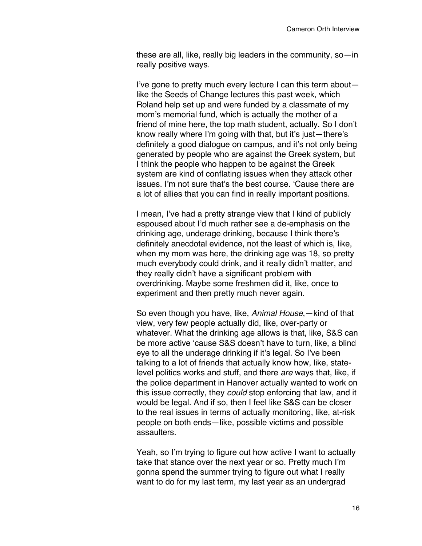these are all, like, really big leaders in the community, so—in really positive ways.

I've gone to pretty much every lecture I can this term about like the Seeds of Change lectures this past week, which Roland help set up and were funded by a classmate of my mom's memorial fund, which is actually the mother of a friend of mine here, the top math student, actually. So I don't know really where I'm going with that, but it's just—there's definitely a good dialogue on campus, and it's not only being generated by people who are against the Greek system, but I think the people who happen to be against the Greek system are kind of conflating issues when they attack other issues. I'm not sure that's the best course. 'Cause there are a lot of allies that you can find in really important positions.

I mean, I've had a pretty strange view that I kind of publicly espoused about I'd much rather see a de-emphasis on the drinking age, underage drinking, because I think there's definitely anecdotal evidence, not the least of which is, like, when my mom was here, the drinking age was 18, so pretty much everybody could drink, and it really didn't matter, and they really didn't have a significant problem with overdrinking. Maybe some freshmen did it, like, once to experiment and then pretty much never again.

So even though you have, like, *Animal House*,—kind of that view, very few people actually did, like, over-party or whatever. What the drinking age allows is that, like, S&S can be more active 'cause S&S doesn't have to turn, like, a blind eye to all the underage drinking if it's legal. So I've been talking to a lot of friends that actually know how, like, statelevel politics works and stuff, and there *are* ways that, like, if the police department in Hanover actually wanted to work on this issue correctly, they *could* stop enforcing that law, and it would be legal. And if so, then I feel like S&S can be closer to the real issues in terms of actually monitoring, like, at-risk people on both ends—like, possible victims and possible assaulters.

Yeah, so I'm trying to figure out how active I want to actually take that stance over the next year or so. Pretty much I'm gonna spend the summer trying to figure out what I really want to do for my last term, my last year as an undergrad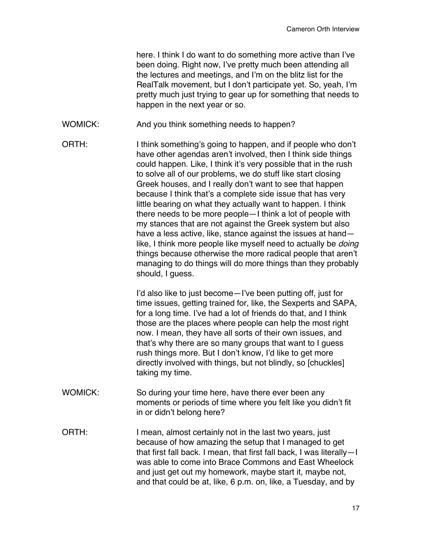here. I think I do want to do something more active than I've been doing. Right now, I've pretty much been attending all the lectures and meetings, and I'm on the blitz list for the RealTalk movement, but I don't participate yet. So, yeah, I'm pretty much just trying to gear up for something that needs to happen in the next year or so.

- WOMICK: And you think something needs to happen?
- ORTH: I think something's going to happen, and if people who don't have other agendas aren't involved, then I think side things could happen. Like, I think it's very possible that in the rush to solve all of our problems, we do stuff like start closing Greek houses, and I really don't want to see that happen because I think that's a complete side issue that has very little bearing on what they actually want to happen. I think there needs to be more people—I think a lot of people with my stances that are not against the Greek system but also have a less active, like, stance against the issues at hand like, I think more people like myself need to actually be *doing*  things because otherwise the more radical people that aren't managing to do things will do more things than they probably should, I guess.

I'd also like to just become—I've been putting off, just for time issues, getting trained for, like, the Sexperts and SAPA, for a long time. I've had a lot of friends do that, and I think those are the places where people can help the most right now. I mean, they have all sorts of their own issues, and that's why there are so many groups that want to I guess rush things more. But I don't know, I'd like to get more directly involved with things, but not blindly, so [chuckles] taking my time.

- WOMICK: So during your time here, have there ever been any moments or periods of time where you felt like you didn't fit in or didn't belong here?
- ORTH: I mean, almost certainly not in the last two years, just because of how amazing the setup that I managed to get that first fall back. I mean, that first fall back, I was literally—I was able to come into Brace Commons and East Wheelock and just get out my homework, maybe start it, maybe not, and that could be at, like, 6 p.m. on, like, a Tuesday, and by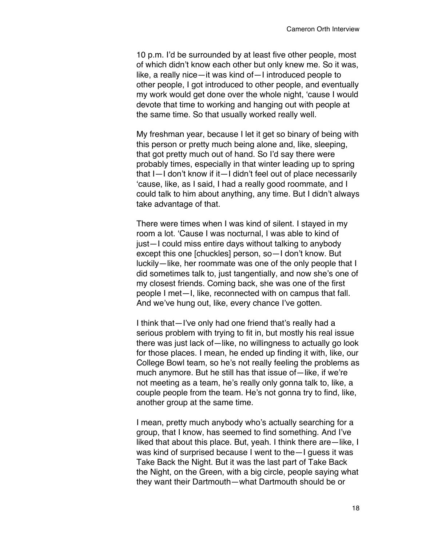10 p.m. I'd be surrounded by at least five other people, most of which didn't know each other but only knew me. So it was, like, a really nice—it was kind of—I introduced people to other people, I got introduced to other people, and eventually my work would get done over the whole night, 'cause I would devote that time to working and hanging out with people at the same time. So that usually worked really well.

My freshman year, because I let it get so binary of being with this person or pretty much being alone and, like, sleeping, that got pretty much out of hand. So I'd say there were probably times, especially in that winter leading up to spring that I—I don't know if it—I didn't feel out of place necessarily 'cause, like, as I said, I had a really good roommate, and I could talk to him about anything, any time. But I didn't always take advantage of that.

There were times when I was kind of silent. I stayed in my room a lot. 'Cause I was nocturnal, I was able to kind of just—I could miss entire days without talking to anybody except this one [chuckles] person, so—I don't know. But luckily—like, her roommate was one of the only people that I did sometimes talk to, just tangentially, and now she's one of my closest friends. Coming back, she was one of the first people I met—I, like, reconnected with on campus that fall. And we've hung out, like, every chance I've gotten.

I think that—I've only had one friend that's really had a serious problem with trying to fit in, but mostly his real issue there was just lack of—like, no willingness to actually go look for those places. I mean, he ended up finding it with, like, our College Bowl team, so he's not really feeling the problems as much anymore. But he still has that issue of—like, if we're not meeting as a team, he's really only gonna talk to, like, a couple people from the team. He's not gonna try to find, like, another group at the same time.

I mean, pretty much anybody who's actually searching for a group, that I know, has seemed to find something. And I've liked that about this place. But, yeah. I think there are—like, I was kind of surprised because I went to the—I guess it was Take Back the Night. But it was the last part of Take Back the Night, on the Green, with a big circle, people saying what they want their Dartmouth—what Dartmouth should be or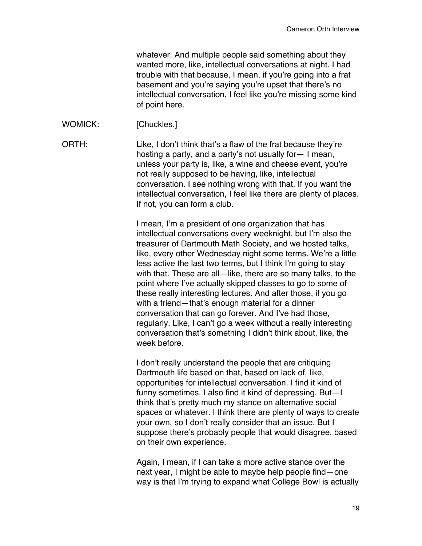whatever. And multiple people said something about they wanted more, like, intellectual conversations at night. I had trouble with that because, I mean, if you're going into a frat basement and you're saying you're upset that there's no intellectual conversation, I feel like you're missing some kind of point here.

WOMICK: [Chuckles.]

ORTH: Like, I don't think that's a flaw of the frat because they're hosting a party, and a party's not usually for— I mean, unless your party is, like, a wine and cheese event, you're not really supposed to be having, like, intellectual conversation. I see nothing wrong with that. If you want the intellectual conversation, I feel like there are plenty of places. If not, you can form a club.

> I mean, I'm a president of one organization that has intellectual conversations every weeknight, but I'm also the treasurer of Dartmouth Math Society, and we hosted talks, like, every other Wednesday night some terms. We're a little less active the last two terms, but I think I'm going to stay with that. These are all—like, there are so many talks, to the point where I've actually skipped classes to go to some of these really interesting lectures. And after those, if you go with a friend—that's enough material for a dinner conversation that can go forever. And I've had those, regularly. Like, I can't go a week without a really interesting conversation that's something I didn't think about, like, the week before.

I don't really understand the people that are critiquing Dartmouth life based on that, based on lack of, like, opportunities for intellectual conversation. I find it kind of funny sometimes. I also find it kind of depressing. But—I think that's pretty much my stance on alternative social spaces or whatever. I think there are plenty of ways to create your own, so I don't really consider that an issue. But I suppose there's probably people that would disagree, based on their own experience.

Again, I mean, if I can take a more active stance over the next year, I might be able to maybe help people find—one way is that I'm trying to expand what College Bowl is actually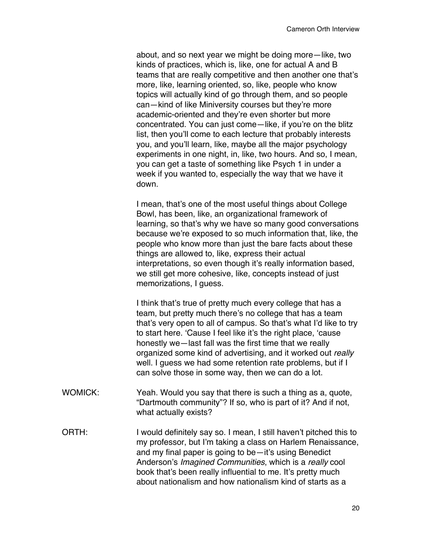about, and so next year we might be doing more—like, two kinds of practices, which is, like, one for actual A and B teams that are really competitive and then another one that's more, like, learning oriented, so, like, people who know topics will actually kind of go through them, and so people can—kind of like Miniversity courses but they're more academic-oriented and they're even shorter but more concentrated. You can just come—like, if you're on the blitz list, then you'll come to each lecture that probably interests you, and you'll learn, like, maybe all the major psychology experiments in one night, in, like, two hours. And so, I mean, you can get a taste of something like Psych 1 in under a week if you wanted to, especially the way that we have it down.

I mean, that's one of the most useful things about College Bowl, has been, like, an organizational framework of learning, so that's why we have so many good conversations because we're exposed to so much information that, like, the people who know more than just the bare facts about these things are allowed to, like, express their actual interpretations, so even though it's really information based, we still get more cohesive, like, concepts instead of just memorizations, I guess.

I think that's true of pretty much every college that has a team, but pretty much there's no college that has a team that's very open to all of campus. So that's what I'd like to try to start here. 'Cause I feel like it's the right place, 'cause honestly we—last fall was the first time that we really organized some kind of advertising, and it worked out *really* well. I guess we had some retention rate problems, but if I can solve those in some way, then we can do a lot.

- WOMICK: Yeah. Would you say that there is such a thing as a, quote, "Dartmouth community"? If so, who is part of it? And if not, what actually exists?
- ORTH: I would definitely say so. I mean, I still haven't pitched this to my professor, but I'm taking a class on Harlem Renaissance, and my final paper is going to be—it's using Benedict Anderson's *Imagined Communities*, which is a *really* cool book that's been really influential to me. It's pretty much about nationalism and how nationalism kind of starts as a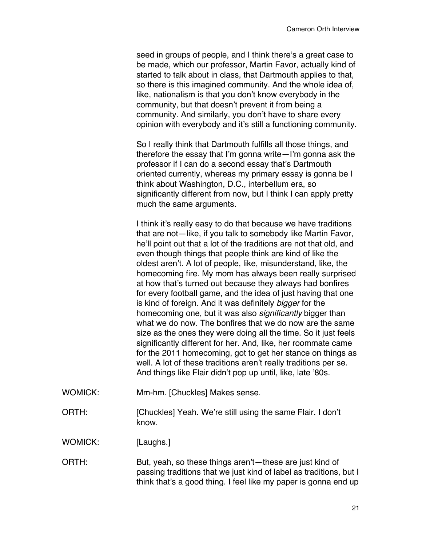seed in groups of people, and I think there's a great case to be made, which our professor, Martin Favor, actually kind of started to talk about in class, that Dartmouth applies to that, so there is this imagined community. And the whole idea of, like, nationalism is that you don't know everybody in the community, but that doesn't prevent it from being a community. And similarly, you don't have to share every opinion with everybody and it's still a functioning community.

So I really think that Dartmouth fulfills all those things, and therefore the essay that I'm gonna write—I'm gonna ask the professor if I can do a second essay that's Dartmouth oriented currently, whereas my primary essay is gonna be I think about Washington, D.C., interbellum era, so significantly different from now, but I think I can apply pretty much the same arguments.

I think it's really easy to do that because we have traditions that are not—like, if you talk to somebody like Martin Favor, he'll point out that a lot of the traditions are not that old, and even though things that people think are kind of like the oldest aren't. A lot of people, like, misunderstand, like, the homecoming fire. My mom has always been really surprised at how that's turned out because they always had bonfires for every football game, and the idea of just having that one is kind of foreign. And it was definitely *bigger* for the homecoming one, but it was also *significantly* bigger than what we do now. The bonfires that we do now are the same size as the ones they were doing all the time. So it just feels significantly different for her. And, like, her roommate came for the 2011 homecoming, got to get her stance on things as well. A lot of these traditions aren't really traditions per se. And things like Flair didn't pop up until, like, late '80s.

- WOMICK: Mm-hm. [Chuckles] Makes sense.
- ORTH: [Chuckles] Yeah. We're still using the same Flair. I don't know.

WOMICK: [Laughs.]

ORTH: But, yeah, so these things aren't—these are just kind of passing traditions that we just kind of label as traditions, but I think that's a good thing. I feel like my paper is gonna end up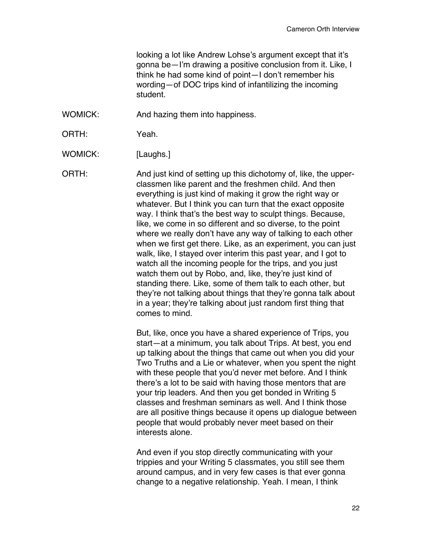looking a lot like Andrew Lohse's argument except that it's gonna be—I'm drawing a positive conclusion from it. Like, I think he had some kind of point—I don't remember his wording—of DOC trips kind of infantilizing the incoming student.

- WOMICK: And hazing them into happiness.
- ORTH: Yeah.

WOMICK: [Laughs.]

ORTH: And just kind of setting up this dichotomy of, like, the upperclassmen like parent and the freshmen child. And then everything is just kind of making it grow the right way or whatever. But I think you can turn that the exact opposite way. I think that's the best way to sculpt things. Because, like, we come in so different and so diverse, to the point where we really don't have any way of talking to each other when we first get there. Like, as an experiment, you can just walk, like, I stayed over interim this past year, and I got to watch all the incoming people for the trips, and you just watch them out by Robo, and, like, they're just kind of standing there. Like, some of them talk to each other, but they're not talking about things that they're gonna talk about in a year; they're talking about just random first thing that comes to mind.

> But, like, once you have a shared experience of Trips, you start—at a minimum, you talk about Trips. At best, you end up talking about the things that came out when you did your Two Truths and a Lie or whatever, when you spent the night with these people that you'd never met before. And I think there's a lot to be said with having those mentors that are your trip leaders. And then you get bonded in Writing 5 classes and freshman seminars as well. And I think those are all positive things because it opens up dialogue between people that would probably never meet based on their interests alone.

And even if you stop directly communicating with your trippies and your Writing 5 classmates, you still see them around campus, and in very few cases is that ever gonna change to a negative relationship. Yeah. I mean, I think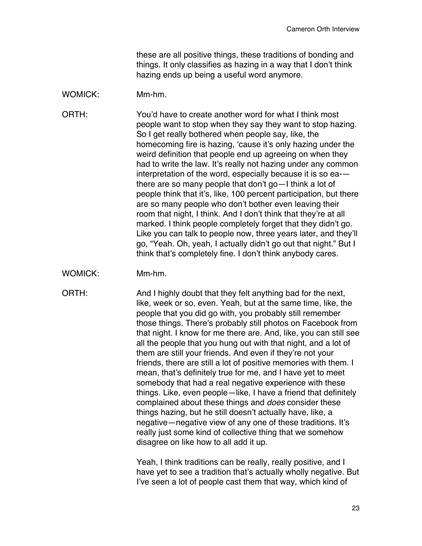these are all positive things, these traditions of bonding and things. It only classifies as hazing in a way that I don't think hazing ends up being a useful word anymore.

## WOMICK: Mm-hm.

ORTH: You'd have to create another word for what I think most people want to stop when they say they want to stop hazing. So I get really bothered when people say, like, the homecoming fire is hazing, 'cause it's only hazing under the weird definition that people end up agreeing on when they had to write the law. It's really not hazing under any common interpretation of the word, especially because it is so ea- there are so many people that don't go—I think a lot of people think that it's, like, 100 percent participation, but there are so many people who don't bother even leaving their room that night, I think. And I don't think that they're at all marked. I think people completely forget that they didn't go. Like you can talk to people now, three years later, and they'll go, "Yeah. Oh, yeah, I actually didn't go out that night." But I think that's completely fine. I don't think anybody cares.

WOMICK: Mm-hm.

ORTH: And I highly doubt that they felt anything bad for the next, like, week or so, even. Yeah, but at the same time, like, the people that you did go with, you probably still remember those things. There's probably still photos on Facebook from that night. I know for me there are. And, like, you can still see all the people that you hung out with that night, and a lot of them are still your friends. And even if they're not your friends, there are still a lot of positive memories with them. I mean, that's definitely true for me, and I have yet to meet somebody that had a real negative experience with these things. Like, even people—like, I have a friend that definitely complained about these things and *does* consider these things hazing, but he still doesn't actually have, like, a negative—negative view of any one of these traditions. It's really just some kind of collective thing that we somehow disagree on like how to all add it up.

> Yeah, I think traditions can be really, really positive, and I have yet to see a tradition that's actually wholly negative. But I've seen a lot of people cast them that way, which kind of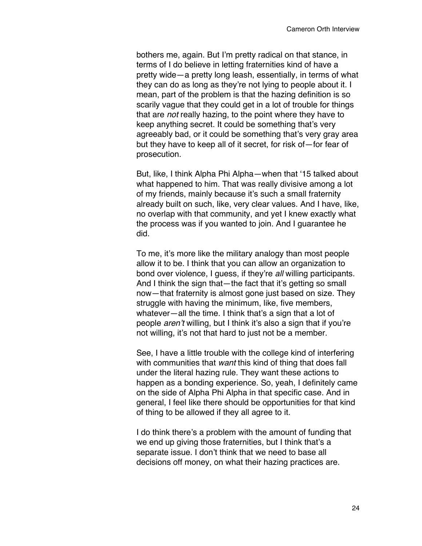bothers me, again. But I'm pretty radical on that stance, in terms of I do believe in letting fraternities kind of have a pretty wide—a pretty long leash, essentially, in terms of what they can do as long as they're not lying to people about it. I mean, part of the problem is that the hazing definition is so scarily vague that they could get in a lot of trouble for things that are *not* really hazing, to the point where they have to keep anything secret. It could be something that's very agreeably bad, or it could be something that's very gray area but they have to keep all of it secret, for risk of—for fear of prosecution.

But, like, I think Alpha Phi Alpha—when that '15 talked about what happened to him. That was really divisive among a lot of my friends, mainly because it's such a small fraternity already built on such, like, very clear values. And I have, like, no overlap with that community, and yet I knew exactly what the process was if you wanted to join. And I guarantee he did.

To me, it's more like the military analogy than most people allow it to be. I think that you can allow an organization to bond over violence, I guess, if they're *all* willing participants. And I think the sign that—the fact that it's getting so small now—that fraternity is almost gone just based on size. They struggle with having the minimum, like, five members, whatever—all the time. I think that's a sign that a lot of people *aren't* willing, but I think it's also a sign that if you're not willing, it's not that hard to just not be a member.

See, I have a little trouble with the college kind of interfering with communities that *want* this kind of thing that does fall under the literal hazing rule. They want these actions to happen as a bonding experience. So, yeah, I definitely came on the side of Alpha Phi Alpha in that specific case. And in general, I feel like there should be opportunities for that kind of thing to be allowed if they all agree to it.

I do think there's a problem with the amount of funding that we end up giving those fraternities, but I think that's a separate issue. I don't think that we need to base all decisions off money, on what their hazing practices are.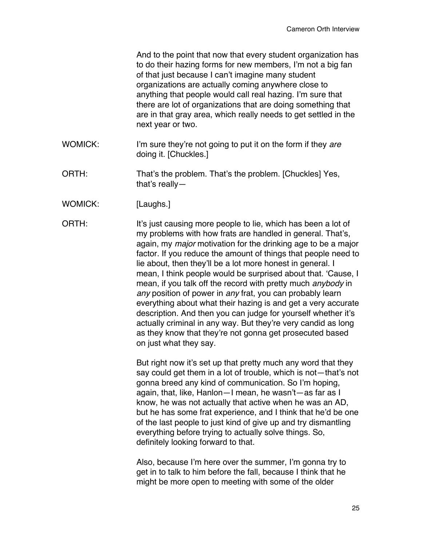|                | And to the point that now that every student organization has<br>to do their hazing forms for new members, I'm not a big fan<br>of that just because I can't imagine many student<br>organizations are actually coming anywhere close to<br>anything that people would call real hazing. I'm sure that<br>there are lot of organizations that are doing something that<br>are in that gray area, which really needs to get settled in the<br>next year or two.                                                                                                                                                                                                                                                                                                                                                      |
|----------------|---------------------------------------------------------------------------------------------------------------------------------------------------------------------------------------------------------------------------------------------------------------------------------------------------------------------------------------------------------------------------------------------------------------------------------------------------------------------------------------------------------------------------------------------------------------------------------------------------------------------------------------------------------------------------------------------------------------------------------------------------------------------------------------------------------------------|
| <b>WOMICK:</b> | I'm sure they're not going to put it on the form if they are<br>doing it. [Chuckles.]                                                                                                                                                                                                                                                                                                                                                                                                                                                                                                                                                                                                                                                                                                                               |
| ORTH:          | That's the problem. That's the problem. [Chuckles] Yes,<br>that's really $-$                                                                                                                                                                                                                                                                                                                                                                                                                                                                                                                                                                                                                                                                                                                                        |
| <b>WOMICK:</b> | [Laughs.]                                                                                                                                                                                                                                                                                                                                                                                                                                                                                                                                                                                                                                                                                                                                                                                                           |
| ORTH:          | It's just causing more people to lie, which has been a lot of<br>my problems with how frats are handled in general. That's,<br>again, my major motivation for the drinking age to be a major<br>factor. If you reduce the amount of things that people need to<br>lie about, then they'll be a lot more honest in general. I<br>mean, I think people would be surprised about that. 'Cause, I<br>mean, if you talk off the record with pretty much anybody in<br>any position of power in any frat, you can probably learn<br>everything about what their hazing is and get a very accurate<br>description. And then you can judge for yourself whether it's<br>actually criminal in any way. But they're very candid as long<br>as they know that they're not gonna get prosecuted based<br>on just what they say. |
|                | But right now it's set up that pretty much any word that they<br>say could get them in a lot of trouble, which is not-that's not<br>gonna breed any kind of communication. So I'm hoping,<br>again, that, like, Hanlon-I mean, he wasn't-as far as I<br>know, he was not actually that active when he was an AD,<br>but he has some frat experience, and I think that he'd be one<br>of the last people to just kind of give up and try dismantling<br>everything before trying to actually solve things. So,<br>definitely looking forward to that.                                                                                                                                                                                                                                                                |
|                | Also, because I'm here over the summer, I'm gonna try to<br>get in to talk to him before the fall, because I think that he<br>might be more open to meeting with some of the older                                                                                                                                                                                                                                                                                                                                                                                                                                                                                                                                                                                                                                  |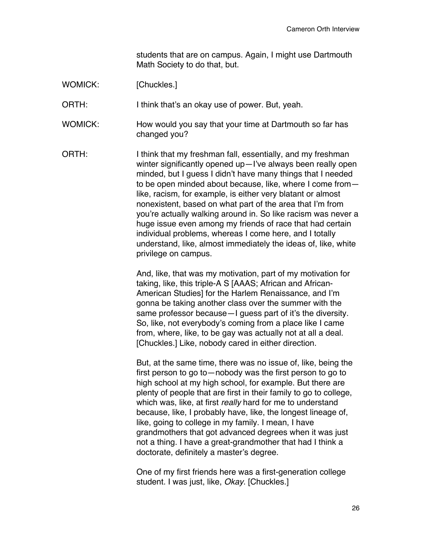students that are on campus. Again, I might use Dartmouth Math Society to do that, but.

WOMICK: [Chuckles.]

ORTH: I think that's an okay use of power. But, yeah.

- WOMICK: How would you say that your time at Dartmouth so far has changed you?
- ORTH: I think that my freshman fall, essentially, and my freshman winter significantly opened up—I've always been really open minded, but I guess I didn't have many things that I needed to be open minded about because, like, where I come from like, racism, for example, is either very blatant or almost nonexistent, based on what part of the area that I'm from you're actually walking around in. So like racism was never a huge issue even among my friends of race that had certain individual problems, whereas I come here, and I totally understand, like, almost immediately the ideas of, like, white privilege on campus.

And, like, that was my motivation, part of my motivation for taking, like, this triple-A S [AAAS; African and African-American Studies] for the Harlem Renaissance, and I'm gonna be taking another class over the summer with the same professor because—I guess part of it's the diversity. So, like, not everybody's coming from a place like I came from, where, like, to be gay was actually not at all a deal. [Chuckles.] Like, nobody cared in either direction.

But, at the same time, there was no issue of, like, being the first person to go to—nobody was the first person to go to high school at my high school, for example. But there are plenty of people that are first in their family to go to college, which was, like, at first *really* hard for me to understand because, like, I probably have, like, the longest lineage of, like, going to college in my family. I mean, I have grandmothers that got advanced degrees when it was just not a thing. I have a great-grandmother that had I think a doctorate, definitely a master's degree.

One of my first friends here was a first-generation college student. I was just, like, *Okay*. [Chuckles.]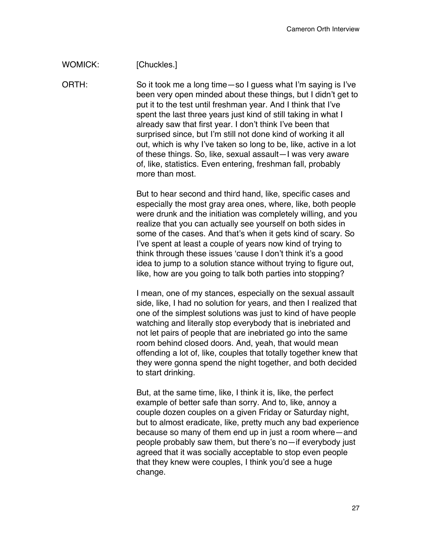## WOMICK: [Chuckles.]

ORTH: So it took me a long time—so I guess what I'm saying is I've been very open minded about these things, but I didn't get to put it to the test until freshman year. And I think that I've spent the last three years just kind of still taking in what I already saw that first year. I don't think I've been that surprised since, but I'm still not done kind of working it all out, which is why I've taken so long to be, like, active in a lot of these things. So, like, sexual assault—I was very aware of, like, statistics. Even entering, freshman fall, probably more than most.

> But to hear second and third hand, like, specific cases and especially the most gray area ones, where, like, both people were drunk and the initiation was completely willing, and you realize that you can actually see yourself on both sides in some of the cases. And that's when it gets kind of scary. So I've spent at least a couple of years now kind of trying to think through these issues 'cause I don't think it's a good idea to jump to a solution stance without trying to figure out, like, how are you going to talk both parties into stopping?

> I mean, one of my stances, especially on the sexual assault side, like, I had no solution for years, and then I realized that one of the simplest solutions was just to kind of have people watching and literally stop everybody that is inebriated and not let pairs of people that are inebriated go into the same room behind closed doors. And, yeah, that would mean offending a lot of, like, couples that totally together knew that they were gonna spend the night together, and both decided to start drinking.

> But, at the same time, like, I think it is, like, the perfect example of better safe than sorry. And to, like, annoy a couple dozen couples on a given Friday or Saturday night, but to almost eradicate, like, pretty much any bad experience because so many of them end up in just a room where—and people probably saw them, but there's no—if everybody just agreed that it was socially acceptable to stop even people that they knew were couples, I think you'd see a huge change.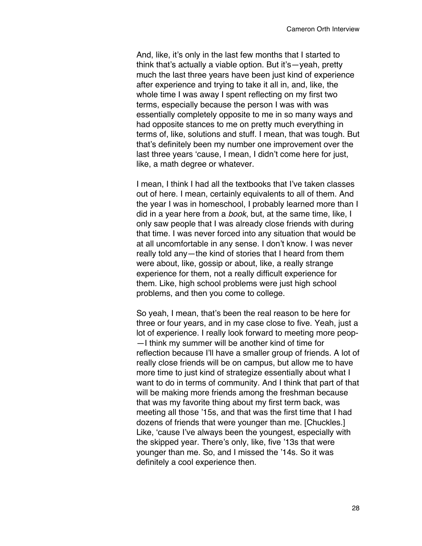And, like, it's only in the last few months that I started to think that's actually a viable option. But it's—yeah, pretty much the last three years have been just kind of experience after experience and trying to take it all in, and, like, the whole time I was away I spent reflecting on my first two terms, especially because the person I was with was essentially completely opposite to me in so many ways and had opposite stances to me on pretty much everything in terms of, like, solutions and stuff. I mean, that was tough. But that's definitely been my number one improvement over the last three years 'cause, I mean, I didn't come here for just, like, a math degree or whatever.

I mean, I think I had all the textbooks that I've taken classes out of here. I mean, certainly equivalents to all of them. And the year I was in homeschool, I probably learned more than I did in a year here from a *book*, but, at the same time, like, I only saw people that I was already close friends with during that time. I was never forced into any situation that would be at all uncomfortable in any sense. I don't know. I was never really told any—the kind of stories that I heard from them were about, like, gossip or about, like, a really strange experience for them, not a really difficult experience for them. Like, high school problems were just high school problems, and then you come to college.

So yeah, I mean, that's been the real reason to be here for three or four years, and in my case close to five. Yeah, just a lot of experience. I really look forward to meeting more peop- —I think my summer will be another kind of time for reflection because I'll have a smaller group of friends. A lot of really close friends will be on campus, but allow me to have more time to just kind of strategize essentially about what I want to do in terms of community. And I think that part of that will be making more friends among the freshman because that was my favorite thing about my first term back, was meeting all those '15s, and that was the first time that I had dozens of friends that were younger than me. [Chuckles.] Like, 'cause I've always been the youngest, especially with the skipped year. There's only, like, five '13s that were younger than me. So, and I missed the '14s. So it was definitely a cool experience then.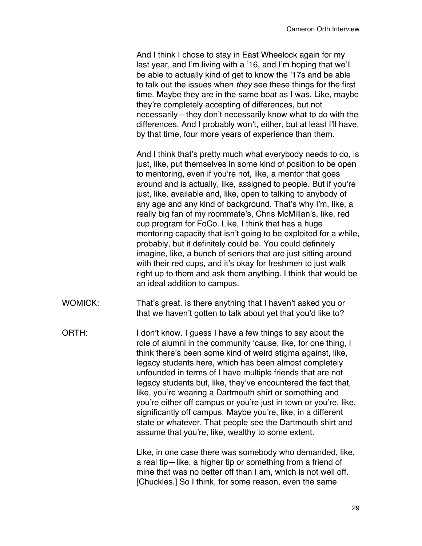And I think I chose to stay in East Wheelock again for my last year, and I'm living with a '16, and I'm hoping that we'll be able to actually kind of get to know the '17s and be able to talk out the issues when *they* see these things for the first time. Maybe they are in the same boat as I was. Like, maybe they're completely accepting of differences, but not necessarily—they don't necessarily know what to do with the differences. And I probably won't, either, but at least I'll have, by that time, four more years of experience than them.

And I think that's pretty much what everybody needs to do, is just, like, put themselves in some kind of position to be open to mentoring, even if you're not, like, a mentor that goes around and is actually, like, assigned to people. But if you're just, like, available and, like, open to talking to anybody of any age and any kind of background. That's why I'm, like, a really big fan of my roommate's, Chris McMillan's, like, red cup program for FoCo. Like, I think that has a huge mentoring capacity that isn't going to be exploited for a while, probably, but it definitely could be. You could definitely imagine, like, a bunch of seniors that are just sitting around with their red cups, and it's okay for freshmen to just walk right up to them and ask them anything. I think that would be an ideal addition to campus.

- WOMICK: That's great. Is there anything that I haven't asked you or that we haven't gotten to talk about yet that you'd like to?
- ORTH: I don't know. I guess I have a few things to say about the role of alumni in the community 'cause, like, for one thing, I think there's been some kind of weird stigma against, like, legacy students here, which has been almost completely unfounded in terms of I have multiple friends that are not legacy students but, like, they've encountered the fact that, like, you're wearing a Dartmouth shirt or something and you're either off campus or you're just in town or you're, like, significantly off campus. Maybe you're, like, in a different state or whatever. That people see the Dartmouth shirt and assume that you're, like, wealthy to some extent.

Like, in one case there was somebody who demanded, like, a real tip—like, a higher tip or something from a friend of mine that was no better off than I am, which is not well off. [Chuckles.] So I think, for some reason, even the same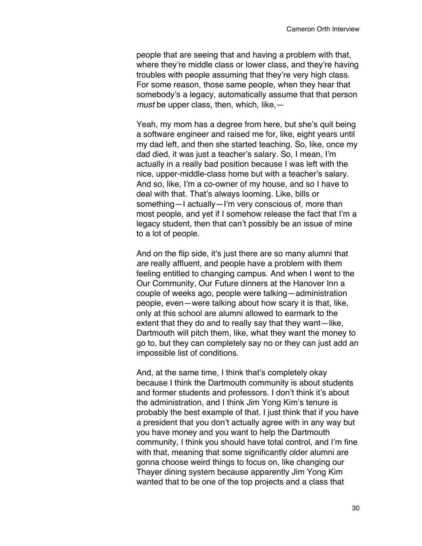people that are seeing that and having a problem with that, where they're middle class or lower class, and they're having troubles with people assuming that they're very high class. For some reason, those same people, when they hear that somebody's a legacy, automatically assume that that person *must* be upper class, then, which, like,—

Yeah, my mom has a degree from here, but she's quit being a software engineer and raised me for, like, eight years until my dad left, and then she started teaching. So, like, once my dad died, it was just a teacher's salary. So, I mean, I'm actually in a really bad position because I was left with the nice, upper-middle-class home but with a teacher's salary. And so, like, I'm a co-owner of my house, and so I have to deal with that. That's always looming. Like, bills or something—I actually—I'm very conscious of, more than most people, and yet if I somehow release the fact that I'm a legacy student, then that can't possibly be an issue of mine to a lot of people.

And on the flip side, it's just there are so many alumni that *are* really affluent, and people have a problem with them feeling entitled to changing campus. And when I went to the Our Community, Our Future dinners at the Hanover Inn a couple of weeks ago, people were talking—administration people, even—were talking about how scary it is that, like, only at this school are alumni allowed to earmark to the extent that they do and to really say that they want—like, Dartmouth will pitch them, like, what they want the money to go to, but they can completely say no or they can just add an impossible list of conditions.

And, at the same time, I think that's completely okay because I think the Dartmouth community is about students and former students and professors. I don't think it's about the administration, and I think Jim Yong Kim's tenure is probably the best example of that. I just think that if you have a president that you don't actually agree with in any way but you have money and you want to help the Dartmouth community, I think you should have total control, and I'm fine with that, meaning that some significantly older alumni are gonna choose weird things to focus on, like changing our Thayer dining system because apparently Jim Yong Kim wanted that to be one of the top projects and a class that